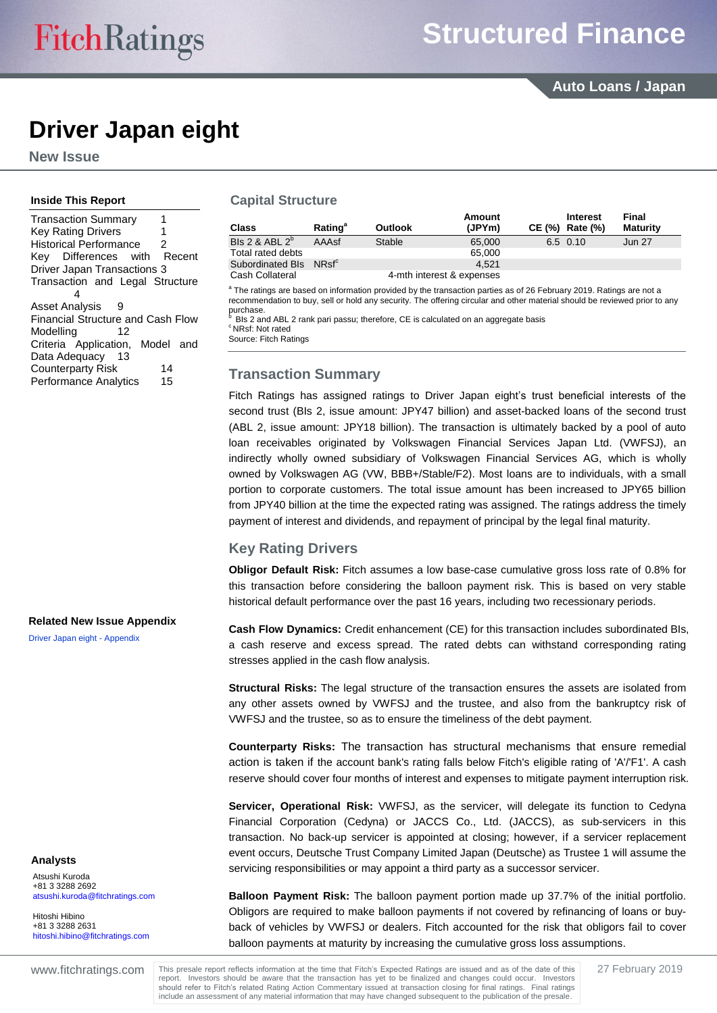# **Driver Japan eight**

**New Issue**

#### **Inside This Report**

#### **Capital Structure**

| <b>Class</b>                       | <b>Rating</b> <sup>a</sup> | <b>Outlook</b> | <b>Amount</b><br>(JPYm)   | <b>Interest</b><br>CE (%) Rate (%) | Final<br><b>Maturity</b> |
|------------------------------------|----------------------------|----------------|---------------------------|------------------------------------|--------------------------|
| Bls 2 & ABL $2^b$                  | AAAsf                      | Stable         | 65,000                    | 6.5 0.10                           | <b>Jun 27</b>            |
| Total rated debts                  |                            |                | 65,000                    |                                    |                          |
| Subordinated Bls NRsf <sup>c</sup> |                            |                | 4.521                     |                                    |                          |
| Cash Collateral                    |                            |                | 4-mth interest & expenses |                                    |                          |

<sup>a</sup> The ratings are based on information provided by the transaction parties as of 26 February 2019. Ratings are not a recommendation to buy, sell or hold any security. The offering circular and other material should be reviewed prior to any purchase.

<sup>b</sup> BIs 2 and ABL 2 rank pari passu; therefore, CE is calculated on an aggregate basis <sup>c</sup> NRsf: Not rated

Source: Fitch Ratings

## <span id="page-0-0"></span>**Transaction Summary**

Fitch Ratings has assigned ratings to Driver Japan eight's trust beneficial interests of the second trust (BIs 2, issue amount: JPY47 billion) and asset-backed loans of the second trust (ABL 2, issue amount: JPY18 billion). The transaction is ultimately backed by a pool of auto loan receivables originated by Volkswagen Financial Services Japan Ltd. (VWFSJ), an indirectly wholly owned subsidiary of Volkswagen Financial Services AG, which is wholly owned by Volkswagen AG (VW, BBB+/Stable/F2). Most loans are to individuals, with a small portion to corporate customers. The total issue amount has been increased to JPY65 billion from JPY40 billion at the time the expected rating was assigned. The ratings address the timely payment of interest and dividends, and repayment of principal by the legal final maturity.

## <span id="page-0-1"></span>**Key Rating Drivers**

**Obligor Default Risk:** Fitch assumes a low base-case cumulative gross loss rate of 0.8% for this transaction before considering the balloon payment risk. This is based on very stable historical default performance over the past 16 years, including two recessionary periods.

**Cash Flow Dynamics:** Credit enhancement (CE) for this transaction includes subordinated BIs, a cash reserve and excess spread. The rated debts can withstand corresponding rating stresses applied in the cash flow analysis.

**Structural Risks:** The legal structure of the transaction ensures the assets are isolated from any other assets owned by VWFSJ and the trustee, and also from the bankruptcy risk of VWFSJ and the trustee, so as to ensure the timeliness of the debt payment.

**Counterparty Risks:** The transaction has structural mechanisms that ensure remedial action is taken if the account bank's rating falls below Fitch's eligible rating of 'A'/'F1'. A cash reserve should cover four months of interest and expenses to mitigate payment interruption risk.

**Servicer, Operational Risk:** VWFSJ, as the servicer, will delegate its function to Cedyna Financial Corporation (Cedyna) or JACCS Co., Ltd. (JACCS), as sub-servicers in this transaction. No back-up servicer is appointed at closing; however, if a servicer replacement event occurs, Deutsche Trust Company Limited Japan (Deutsche) as Trustee 1 will assume the servicing responsibilities or may appoint a third party as a successor servicer.

**Balloon Payment Risk:** The balloon payment portion made up 37.7% of the initial portfolio. Obligors are required to make balloon payments if not covered by refinancing of loans or buyback of vehicles by VWFSJ or dealers. Fitch accounted for the risk that obligors fail to cover balloon payments at maturity by increasing the cumulative gross loss assumptions.

## **Analysts**

Atsushi Kuroda +81 3 3288 2692 [atsushi.kuroda@fitchratings.com](mailto:atsushi.kuroda@fitchratings.com)

**Related New Issue Appendix**

[Driver Japan eight -](http://api.fitchconnect.com/v1/research/FR_RPT_10064475) Appendix

Hitoshi Hibino +81 3 3288 2631 [hitoshi.hibino@fitchratings.com](mailto:hitoshi.hibino@fitchratings.com)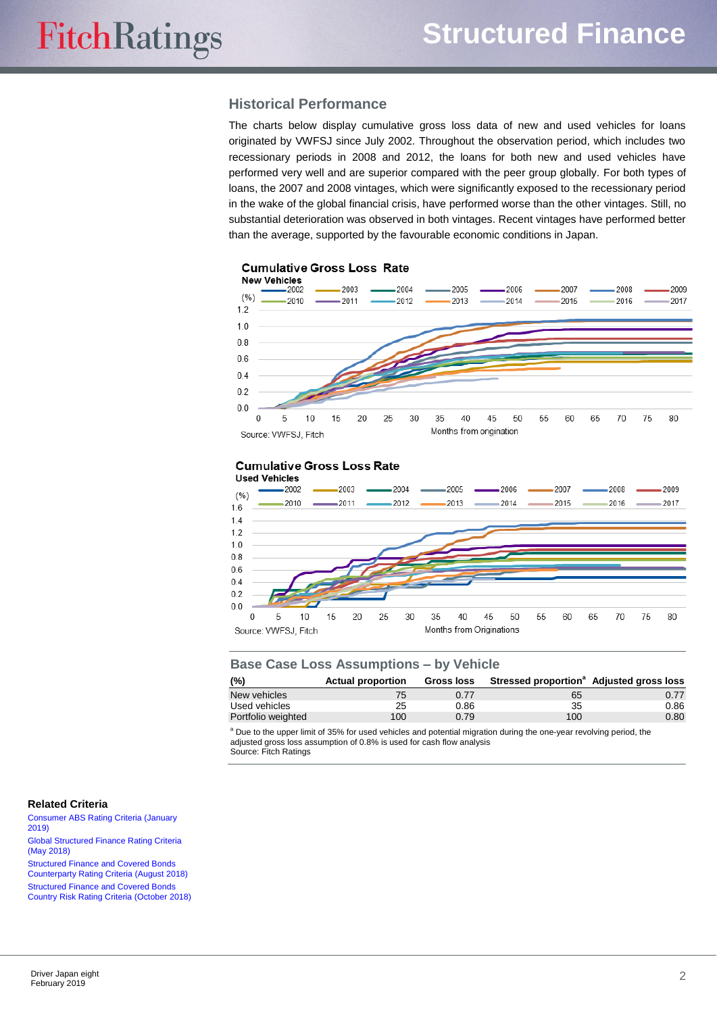# <span id="page-1-0"></span>**Historical Performance**

The charts below display cumulative gross loss data of new and used vehicles for loans originated by VWFSJ since July 2002. Throughout the observation period, which includes two recessionary periods in 2008 and 2012, the loans for both new and used vehicles have performed very well and are superior compared with the peer group globally. For both types of loans, the 2007 and 2008 vintages, which were significantly exposed to the recessionary period in the wake of the global financial crisis, have performed worse than the other vintages. Still, no substantial deterioration was observed in both vintages. Recent vintages have performed better than the average, supported by the favourable economic conditions in Japan.



#### **Cumulative Gross Loss Rate**



| <b>Base Case Loss Assumptions - by Vehicle</b> |                          |                   |                                                      |      |  |  |
|------------------------------------------------|--------------------------|-------------------|------------------------------------------------------|------|--|--|
| (%)                                            | <b>Actual proportion</b> | <b>Gross loss</b> | Stressed proportion <sup>a</sup> Adjusted gross loss |      |  |  |
| New vehicles                                   | 75                       | 0.77              | 65                                                   | 0.77 |  |  |
| Used vehicles                                  | 25                       | 0.86              | 35                                                   | 0.86 |  |  |
| Portfolio weighted                             | 100                      | 0.79              | 100                                                  | 0.80 |  |  |

<sup>a</sup> Due to the upper limit of 35% for used vehicles and potential migration during the one-year revolving period, the adjusted gross loss assumption of 0.8% is used for cash flow analysis Source: Fitch Ratings

#### **Related Criteria**

[Consumer ABS Rating Criteria \(January](http://api.fitchconnect.com/v1/research/FR_RPT_10060611) [2019\)](http://api.fitchconnect.com/v1/research/FR_RPT_10060611) [Global Structured Finance Rating Criteria](http://api.fitchconnect.com/v1/research/FR_RPT_10029600)  [\(May 2018\)](http://api.fitchconnect.com/v1/research/FR_RPT_10029600) [Structured Finance and Covered Bonds](http://api.fitchconnect.com/v1/research/FR_RPT_10039504) 

[Counterparty Rating Criteria \(August](http://api.fitchconnect.com/v1/research/FR_RPT_10039504) 2018) [Structured Finance and Covered Bonds](http://api.fitchconnect.com/v1/research/FR_RPT_10047041) [Country Risk Rating Criteria \(October 2018\)](http://api.fitchconnect.com/v1/research/FR_RPT_10047041)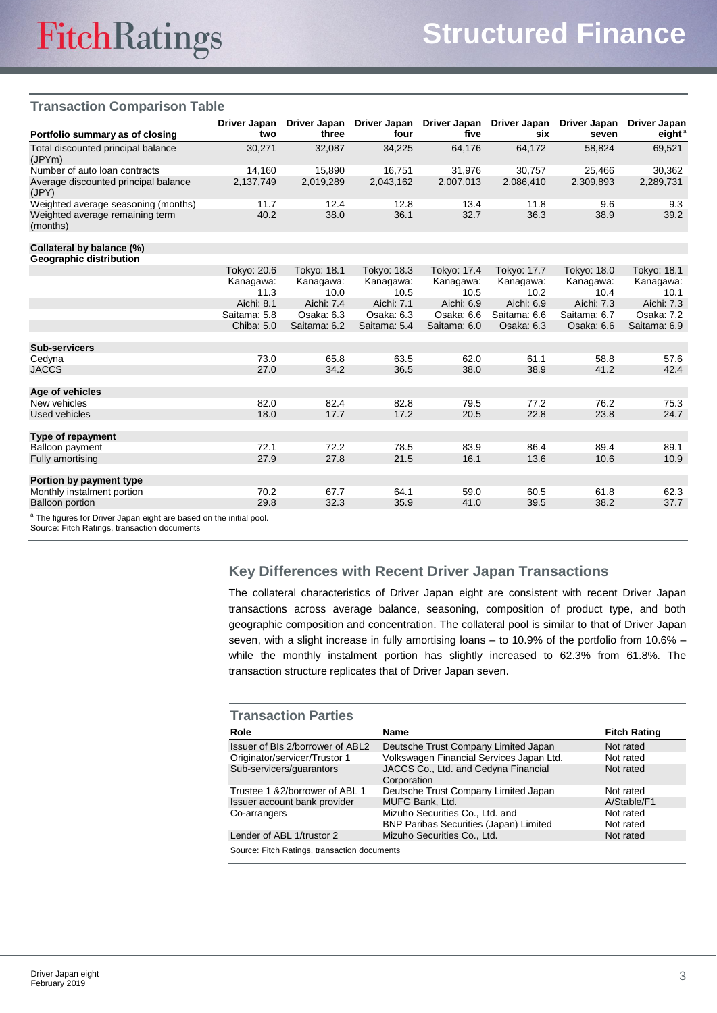## **Transaction Comparison Table**

| Portfolio summary as of closing                                                | Driver Japan<br>two | Driver Japan<br>three | Driver Japan<br>four | Driver Japan<br>five | Driver Japan<br>six | Driver Japan<br>seven | Driver Japan<br>eight $a$ |
|--------------------------------------------------------------------------------|---------------------|-----------------------|----------------------|----------------------|---------------------|-----------------------|---------------------------|
| Total discounted principal balance<br>(JPYm)                                   | 30,271              | 32,087                | 34,225               | 64,176               | 64,172              | 58.824                | 69,521                    |
| Number of auto loan contracts                                                  | 14,160              | 15,890                | 16,751               | 31,976               | 30,757              | 25,466                | 30,362                    |
| Average discounted principal balance<br>(JPY)                                  | 2,137,749           | 2,019,289             | 2,043,162            | 2,007,013            | 2,086,410           | 2,309,893             | 2,289,731                 |
| Weighted average seasoning (months)                                            | 11.7                | 12.4                  | 12.8                 | 13.4                 | 11.8                | 9.6                   | 9.3                       |
| Weighted average remaining term<br>(months)                                    | 40.2                | 38.0                  | 36.1                 | 32.7                 | 36.3                | 38.9                  | 39.2                      |
| Collateral by balance (%)                                                      |                     |                       |                      |                      |                     |                       |                           |
| <b>Geographic distribution</b>                                                 |                     |                       |                      |                      |                     |                       |                           |
|                                                                                | Tokyo: 20.6         | Tokyo: 18.1           | Tokyo: 18.3          | Tokyo: 17.4          | Tokyo: 17.7         | Tokyo: 18.0           | Tokyo: 18.1               |
|                                                                                | Kanagawa:           | Kanagawa:             | Kanagawa:            | Kanagawa:            | Kanagawa:           | Kanagawa:             | Kanagawa:                 |
|                                                                                | 11.3                | 10.0                  | 10.5                 | 10.5                 | 10.2                | 10.4                  | 10.1                      |
|                                                                                | Aichi: 8.1          | Aichi: 7.4            | Aichi: 7.1           | Aichi: 6.9           | Aichi: 6.9          | Aichi: 7.3            | Aichi: 7.3                |
|                                                                                | Saitama: 5.8        | Osaka: 6.3            | Osaka: 6.3           | Osaka: 6.6           | Saitama: 6.6        | Saitama: 6.7          | Osaka: 7.2                |
|                                                                                | Chiba: 5.0          | Saitama: 6.2          | Saitama: 5.4         | Saitama: 6.0         | Osaka: 6.3          | Osaka: 6.6            | Saitama: 6.9              |
| <b>Sub-servicers</b>                                                           |                     |                       |                      |                      |                     |                       |                           |
| Cedyna                                                                         | 73.0                | 65.8                  | 63.5                 | 62.0                 | 61.1                | 58.8                  | 57.6                      |
| <b>JACCS</b>                                                                   | 27.0                | 34.2                  | 36.5                 | 38.0                 | 38.9                | 41.2                  | 42.4                      |
| Age of vehicles                                                                |                     |                       |                      |                      |                     |                       |                           |
| New vehicles                                                                   | 82.0                | 82.4                  | 82.8                 | 79.5                 | 77.2                | 76.2                  | 75.3                      |
| Used vehicles                                                                  | 18.0                | 17.7                  | 17.2                 | 20.5                 | 22.8                | 23.8                  | 24.7                      |
| Type of repayment                                                              |                     |                       |                      |                      |                     |                       |                           |
| Balloon payment                                                                | 72.1                | 72.2                  | 78.5                 | 83.9                 | 86.4                | 89.4                  | 89.1                      |
| Fully amortising                                                               | 27.9                | 27.8                  | 21.5                 | 16.1                 | 13.6                | 10.6                  | 10.9                      |
| Portion by payment type                                                        |                     |                       |                      |                      |                     |                       |                           |
| Monthly instalment portion                                                     | 70.2                | 67.7                  | 64.1                 | 59.0                 | 60.5                | 61.8                  | 62.3                      |
| <b>Balloon portion</b>                                                         | 29.8                | 32.3                  | 35.9                 | 41.0                 | 39.5                | 38.2                  | 37.7                      |
| <sup>a</sup> The figures for Driver Japan eight are based on the initial pool. |                     |                       |                      |                      |                     |                       |                           |

#### Source: Fitch Ratings, transaction documents

# <span id="page-2-0"></span>**Key Differences with Recent Driver Japan Transactions**

The collateral characteristics of Driver Japan eight are consistent with recent Driver Japan transactions across average balance, seasoning, composition of product type, and both geographic composition and concentration. The collateral pool is similar to that of Driver Japan seven, with a slight increase in fully amortising loans – to 10.9% of the portfolio from 10.6% – while the monthly instalment portion has slightly increased to 62.3% from 61.8%. The transaction structure replicates that of Driver Japan seven.

| <b>Transaction Parties</b>                   |                                                                                  |                        |  |  |  |
|----------------------------------------------|----------------------------------------------------------------------------------|------------------------|--|--|--|
| Role                                         | Name                                                                             | <b>Fitch Rating</b>    |  |  |  |
| Issuer of BIs 2/borrower of ABL2             | Deutsche Trust Company Limited Japan                                             | Not rated              |  |  |  |
| Originator/servicer/Trustor 1                | Volkswagen Financial Services Japan Ltd.                                         | Not rated              |  |  |  |
| Sub-servicers/guarantors                     | JACCS Co., Ltd. and Cedyna Financial<br>Corporation                              | Not rated              |  |  |  |
| Trustee 1 & 2/borrower of ABL 1              | Deutsche Trust Company Limited Japan                                             | Not rated              |  |  |  |
| Issuer account bank provider                 | MUFG Bank, Ltd.                                                                  | A/Stable/F1            |  |  |  |
| Co-arrangers                                 | Mizuho Securities Co., Ltd. and<br><b>BNP Paribas Securities (Japan) Limited</b> | Not rated<br>Not rated |  |  |  |
| Lender of ABL 1/trustor 2                    | Mizuho Securities Co., Ltd.                                                      | Not rated              |  |  |  |
| Source: Fitch Ratings, transaction documents |                                                                                  |                        |  |  |  |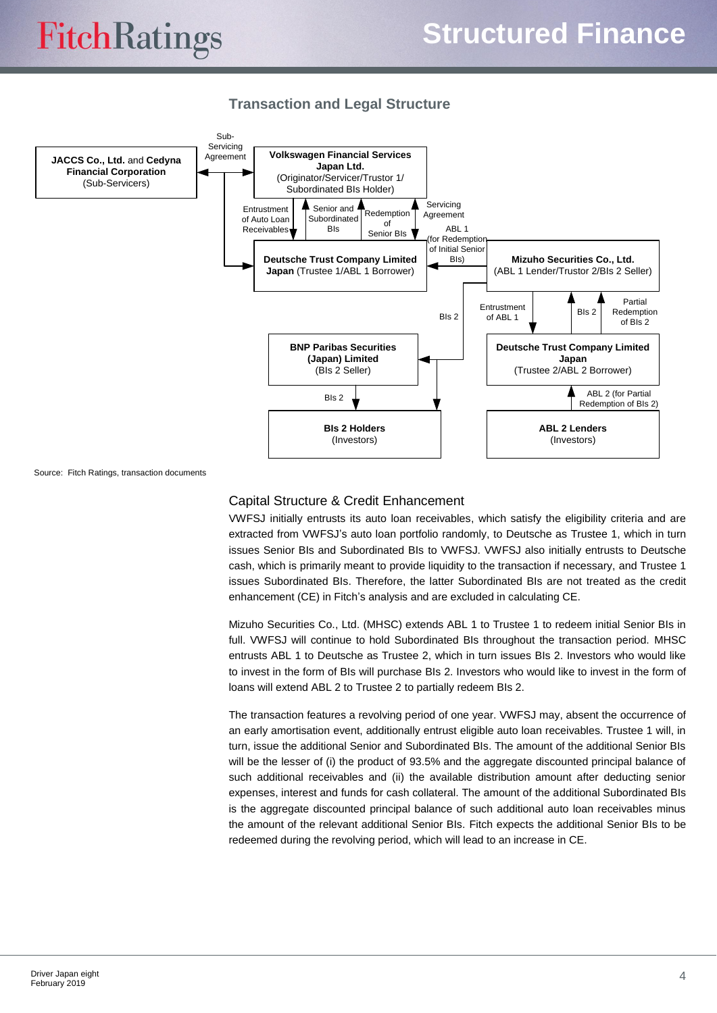# <span id="page-3-0"></span>**Transaction and Legal Structure**



Source: Fitch Ratings, transaction documents

## Capital Structure & Credit Enhancement

VWFSJ initially entrusts its auto loan receivables, which satisfy the eligibility criteria and are extracted from VWFSJ's auto loan portfolio randomly, to Deutsche as Trustee 1, which in turn issues Senior BIs and Subordinated BIs to VWFSJ. VWFSJ also initially entrusts to Deutsche cash, which is primarily meant to provide liquidity to the transaction if necessary, and Trustee 1 issues Subordinated BIs. Therefore, the latter Subordinated BIs are not treated as the credit enhancement (CE) in Fitch's analysis and are excluded in calculating CE.

Mizuho Securities Co., Ltd. (MHSC) extends ABL 1 to Trustee 1 to redeem initial Senior BIs in full. VWFSJ will continue to hold Subordinated BIs throughout the transaction period. MHSC entrusts ABL 1 to Deutsche as Trustee 2, which in turn issues BIs 2. Investors who would like to invest in the form of BIs will purchase BIs 2. Investors who would like to invest in the form of loans will extend ABL 2 to Trustee 2 to partially redeem BIs 2.

The transaction features a revolving period of one year. VWFSJ may, absent the occurrence of an early amortisation event, additionally entrust eligible auto loan receivables. Trustee 1 will, in turn, issue the additional Senior and Subordinated BIs. The amount of the additional Senior BIs will be the lesser of (i) the product of 93.5% and the aggregate discounted principal balance of such additional receivables and (ii) the available distribution amount after deducting senior expenses, interest and funds for cash collateral. The amount of the additional Subordinated BIs is the aggregate discounted principal balance of such additional auto loan receivables minus the amount of the relevant additional Senior BIs. Fitch expects the additional Senior BIs to be redeemed during the revolving period, which will lead to an increase in CE.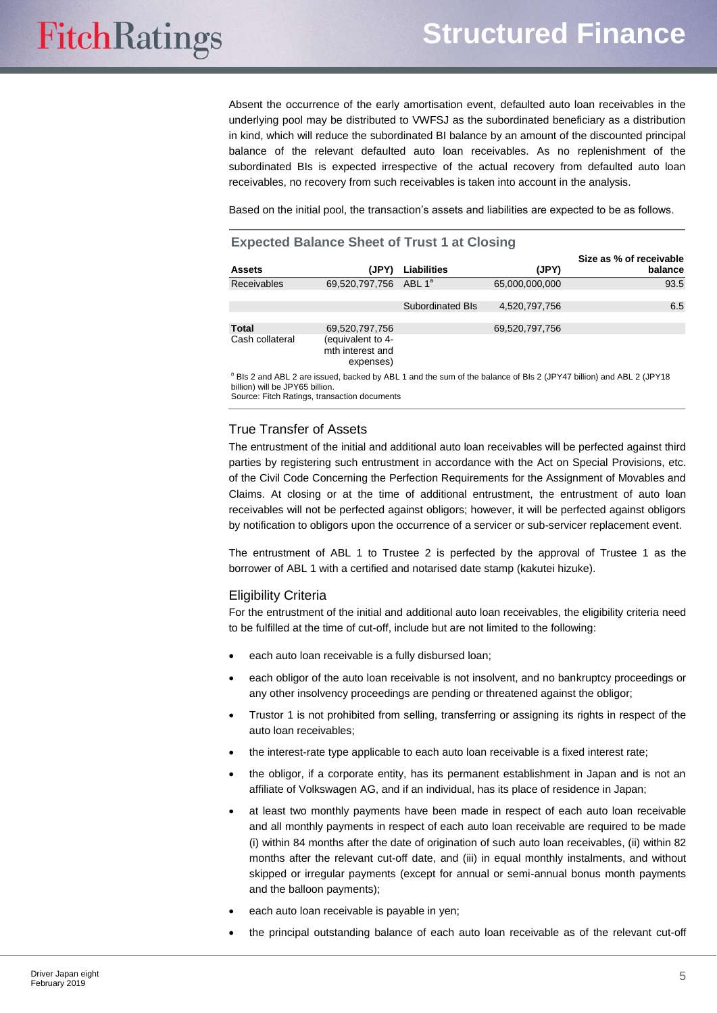Absent the occurrence of the early amortisation event, defaulted auto loan receivables in the underlying pool may be distributed to VWFSJ as the subordinated beneficiary as a distribution in kind, which will reduce the subordinated BI balance by an amount of the discounted principal balance of the relevant defaulted auto loan receivables. As no replenishment of the subordinated BIs is expected irrespective of the actual recovery from defaulted auto loan receivables, no recovery from such receivables is taken into account in the analysis.

Based on the initial pool, the transaction's assets and liabilities are expected to be as follows.

#### **Expected Balance Sheet of Trust 1 at Closing**

|                 |                                                    |                         |                | Size as % of receivable |
|-----------------|----------------------------------------------------|-------------------------|----------------|-------------------------|
| <b>Assets</b>   | (JPY)                                              | <b>Liabilities</b>      | (JPY)          | balance                 |
| Receivables     | 69,520,797,756 ABL 1 <sup>a</sup>                  |                         | 65,000,000,000 | 93.5                    |
|                 |                                                    | <b>Subordinated Bls</b> | 4,520,797,756  | 6.5                     |
| <b>Total</b>    | 69,520,797,756                                     |                         | 69,520,797,756 |                         |
| Cash collateral | (equivalent to 4-<br>mth interest and<br>expenses) |                         |                |                         |
|                 |                                                    |                         |                |                         |

<sup>a</sup> BIs 2 and ABL 2 are issued, backed by ABL 1 and the sum of the balance of BIs 2 (JPY47 billion) and ABL 2 (JPY18 billion) will be JPY65 billion.

Source: Fitch Ratings, transaction documents

#### True Transfer of Assets

The entrustment of the initial and additional auto loan receivables will be perfected against third parties by registering such entrustment in accordance with the Act on Special Provisions, etc. of the Civil Code Concerning the Perfection Requirements for the Assignment of Movables and Claims. At closing or at the time of additional entrustment, the entrustment of auto loan receivables will not be perfected against obligors; however, it will be perfected against obligors by notification to obligors upon the occurrence of a servicer or sub-servicer replacement event.

The entrustment of ABL 1 to Trustee 2 is perfected by the approval of Trustee 1 as the borrower of ABL 1 with a certified and notarised date stamp (kakutei hizuke).

#### Eligibility Criteria

For the entrustment of the initial and additional auto loan receivables, the eligibility criteria need to be fulfilled at the time of cut-off, include but are not limited to the following:

- each auto loan receivable is a fully disbursed loan;
- each obligor of the auto loan receivable is not insolvent, and no bankruptcy proceedings or any other insolvency proceedings are pending or threatened against the obligor;
- Trustor 1 is not prohibited from selling, transferring or assigning its rights in respect of the auto loan receivables;
- the interest-rate type applicable to each auto loan receivable is a fixed interest rate;
- the obligor, if a corporate entity, has its permanent establishment in Japan and is not an affiliate of Volkswagen AG, and if an individual, has its place of residence in Japan;
- at least two monthly payments have been made in respect of each auto loan receivable and all monthly payments in respect of each auto loan receivable are required to be made (i) within 84 months after the date of origination of such auto loan receivables, (ii) within 82 months after the relevant cut-off date, and (iii) in equal monthly instalments, and without skipped or irregular payments (except for annual or semi-annual bonus month payments and the balloon payments);
- each auto loan receivable is payable in yen;
- the principal outstanding balance of each auto loan receivable as of the relevant cut-off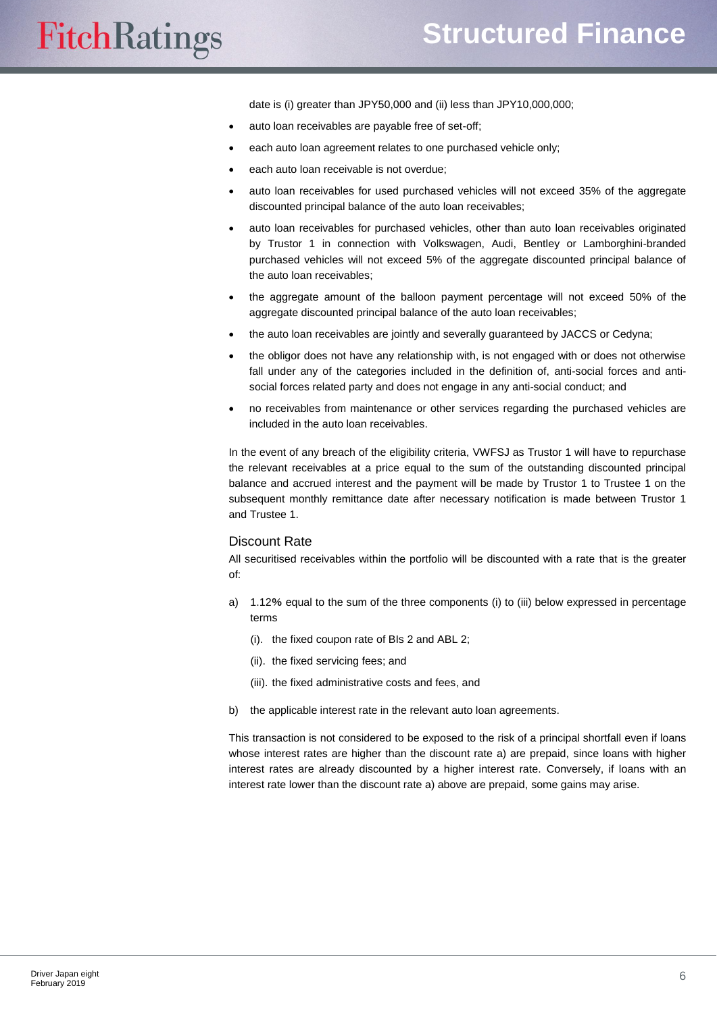date is (i) greater than JPY50,000 and (ii) less than JPY10,000,000;

- auto loan receivables are payable free of set-off;
- each auto loan agreement relates to one purchased vehicle only;
- each auto loan receivable is not overdue;
- auto loan receivables for used purchased vehicles will not exceed 35% of the aggregate discounted principal balance of the auto loan receivables;
- auto loan receivables for purchased vehicles, other than auto loan receivables originated by Trustor 1 in connection with Volkswagen, Audi, Bentley or Lamborghini-branded purchased vehicles will not exceed 5% of the aggregate discounted principal balance of the auto loan receivables;
- the aggregate amount of the balloon payment percentage will not exceed 50% of the aggregate discounted principal balance of the auto loan receivables;
- the auto loan receivables are jointly and severally guaranteed by JACCS or Cedyna;
- the obligor does not have any relationship with, is not engaged with or does not otherwise fall under any of the categories included in the definition of, anti-social forces and antisocial forces related party and does not engage in any anti-social conduct; and
- no receivables from maintenance or other services regarding the purchased vehicles are included in the auto loan receivables.

In the event of any breach of the eligibility criteria, VWFSJ as Trustor 1 will have to repurchase the relevant receivables at a price equal to the sum of the outstanding discounted principal balance and accrued interest and the payment will be made by Trustor 1 to Trustee 1 on the subsequent monthly remittance date after necessary notification is made between Trustor 1 and Trustee 1.

#### Discount Rate

All securitised receivables within the portfolio will be discounted with a rate that is the greater of:

- a) 1.12% equal to the sum of the three components (i) to (iii) below expressed in percentage terms
	- (i). the fixed coupon rate of BIs 2 and ABL 2;
	- (ii). the fixed servicing fees; and
	- (iii). the fixed administrative costs and fees, and
- b) the applicable interest rate in the relevant auto loan agreements.

This transaction is not considered to be exposed to the risk of a principal shortfall even if loans whose interest rates are higher than the discount rate a) are prepaid, since loans with higher interest rates are already discounted by a higher interest rate. Conversely, if loans with an interest rate lower than the discount rate a) above are prepaid, some gains may arise.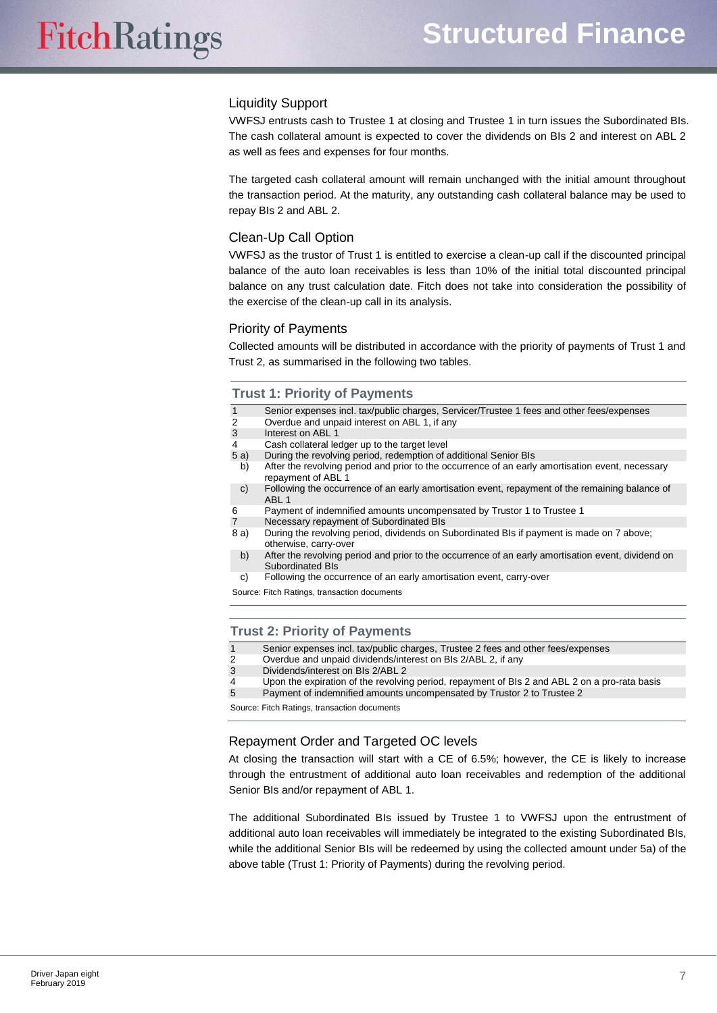## Liquidity Support

VWFSJ entrusts cash to Trustee 1 at closing and Trustee 1 in turn issues the Subordinated BIs. The cash collateral amount is expected to cover the dividends on BIs 2 and interest on ABL 2 as well as fees and expenses for four months.

The targeted cash collateral amount will remain unchanged with the initial amount throughout the transaction period. At the maturity, any outstanding cash collateral balance may be used to repay BIs 2 and ABL 2.

## Clean-Up Call Option

VWFSJ as the trustor of Trust 1 is entitled to exercise a clean-up call if the discounted principal balance of the auto loan receivables is less than 10% of the initial total discounted principal balance on any trust calculation date. Fitch does not take into consideration the possibility of the exercise of the clean-up call in its analysis.

## Priority of Payments

Collected amounts will be distributed in accordance with the priority of payments of Trust 1 and Trust 2, as summarised in the following two tables.

#### **Trust 1: Priority of Payments**

| $\mathbf{1}$   | Senior expenses incl. tax/public charges, Servicer/Trustee 1 fees and other fees/expenses                              |
|----------------|------------------------------------------------------------------------------------------------------------------------|
| $\mathbf{2}^-$ | Overdue and unpaid interest on ABL 1, if any                                                                           |
| $\overline{3}$ | Interest on ABL 1                                                                                                      |
| 4              | Cash collateral ledger up to the target level                                                                          |
| 5 a)           | During the revolving period, redemption of additional Senior BIs                                                       |
| b)             | After the revolving period and prior to the occurrence of an early amortisation event, necessary<br>repayment of ABL 1 |
| C)             | Following the occurrence of an early amortisation event, repayment of the remaining balance of<br>ABL <sub>1</sub>     |
| 6              | Payment of indemnified amounts uncompensated by Trustor 1 to Trustee 1                                                 |
|                |                                                                                                                        |

- 7 Necessary repayment of Subordinated BIs
- 8 a) During the revolving period, dividends on Subordinated BIs if payment is made on 7 above; otherwise, carry-over
- b) After the revolving period and prior to the occurrence of an early amortisation event, dividend on Subordinated BIs
- c) Following the occurrence of an early amortisation event, carry-over

Source: Fitch Ratings, transaction documents

#### **Trust 2: Priority of Payments**

- 1 Senior expenses incl. tax/public charges, Trustee 2 fees and other fees/expenses
- 2 Overdue and unpaid dividends/interest on BIs 2/ABL 2, if any<br>3 Dividends/interest on BIs 2/ABL 2
- Dividends/interest on BIs 2/ABL 2
- 4 Upon the expiration of the revolving period, repayment of BIs 2 and ABL 2 on a pro-rata basis<br>5 Payment of indemnified amounts uncompensated by Trustor 2 to Trustee 2
- 5 Payment of indemnified amounts uncompensated by Trustor 2 to Trustee 2

Source: Fitch Ratings, transaction documents

## Repayment Order and Targeted OC levels

At closing the transaction will start with a CE of 6.5%; however, the CE is likely to increase through the entrustment of additional auto loan receivables and redemption of the additional Senior BIs and/or repayment of ABL 1.

The additional Subordinated BIs issued by Trustee 1 to VWFSJ upon the entrustment of additional auto loan receivables will immediately be integrated to the existing Subordinated BIs, while the additional Senior BIs will be redeemed by using the collected amount under 5a) of the above table (Trust 1: Priority of Payments) during the revolving period.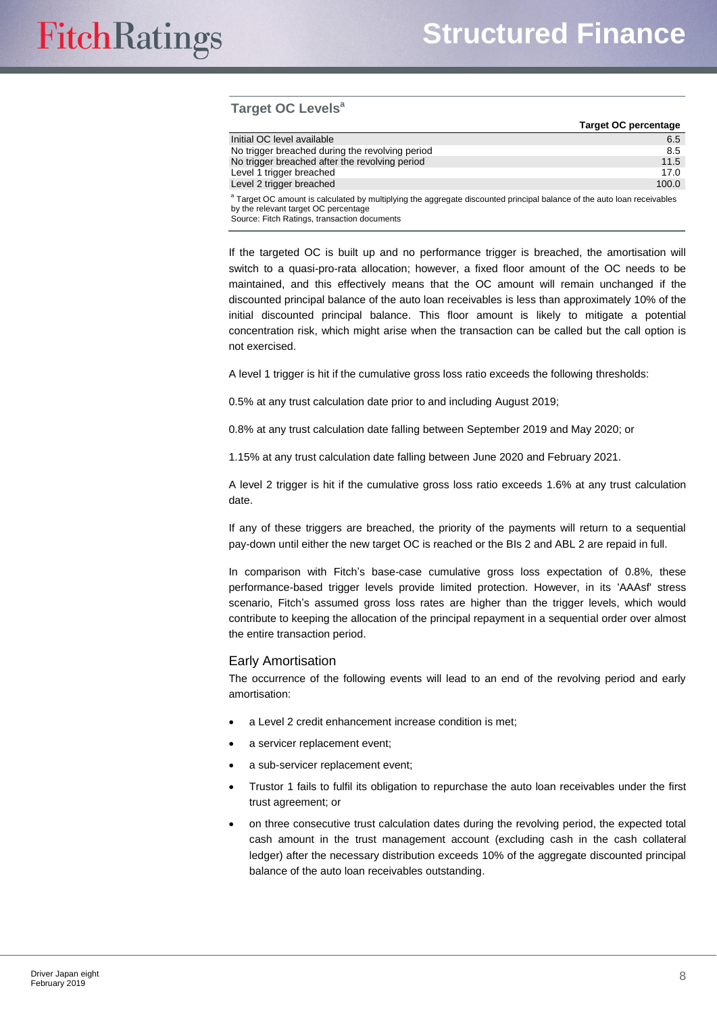## **Target OC Levels<sup>a</sup>**

|                                                                                                                                                                            | <b>Target OC percentage</b> |
|----------------------------------------------------------------------------------------------------------------------------------------------------------------------------|-----------------------------|
| Initial OC level available                                                                                                                                                 | 6.5                         |
| No trigger breached during the revolving period                                                                                                                            | 8.5                         |
| No trigger breached after the revolving period                                                                                                                             | 11.5                        |
| Level 1 trigger breached                                                                                                                                                   | 17.0                        |
| Level 2 trigger breached                                                                                                                                                   | 100.0                       |
| <sup>a</sup> Target OC amount is calculated by multiplying the aggregate discounted principal balance of the auto loan receivables<br>by the relevant target OC percentage |                             |

Source: Fitch Ratings, transaction documents

If the targeted OC is built up and no performance trigger is breached, the amortisation will switch to a quasi-pro-rata allocation; however, a fixed floor amount of the OC needs to be maintained, and this effectively means that the OC amount will remain unchanged if the discounted principal balance of the auto loan receivables is less than approximately 10% of the initial discounted principal balance. This floor amount is likely to mitigate a potential concentration risk, which might arise when the transaction can be called but the call option is not exercised.

A level 1 trigger is hit if the cumulative gross loss ratio exceeds the following thresholds:

0.5% at any trust calculation date prior to and including August 2019;

0.8% at any trust calculation date falling between September 2019 and May 2020; or

1.15% at any trust calculation date falling between June 2020 and February 2021.

A level 2 trigger is hit if the cumulative gross loss ratio exceeds 1.6% at any trust calculation date.

If any of these triggers are breached, the priority of the payments will return to a sequential pay-down until either the new target OC is reached or the BIs 2 and ABL 2 are repaid in full.

In comparison with Fitch's base-case cumulative gross loss expectation of 0.8%, these performance-based trigger levels provide limited protection. However, in its 'AAAsf' stress scenario, Fitch's assumed gross loss rates are higher than the trigger levels, which would contribute to keeping the allocation of the principal repayment in a sequential order over almost the entire transaction period.

#### Early Amortisation

The occurrence of the following events will lead to an end of the revolving period and early amortisation:

- a Level 2 credit enhancement increase condition is met;
- a servicer replacement event;
- a sub-servicer replacement event;
- Trustor 1 fails to fulfil its obligation to repurchase the auto loan receivables under the first trust agreement; or
- on three consecutive trust calculation dates during the revolving period, the expected total cash amount in the trust management account (excluding cash in the cash collateral ledger) after the necessary distribution exceeds 10% of the aggregate discounted principal balance of the auto loan receivables outstanding.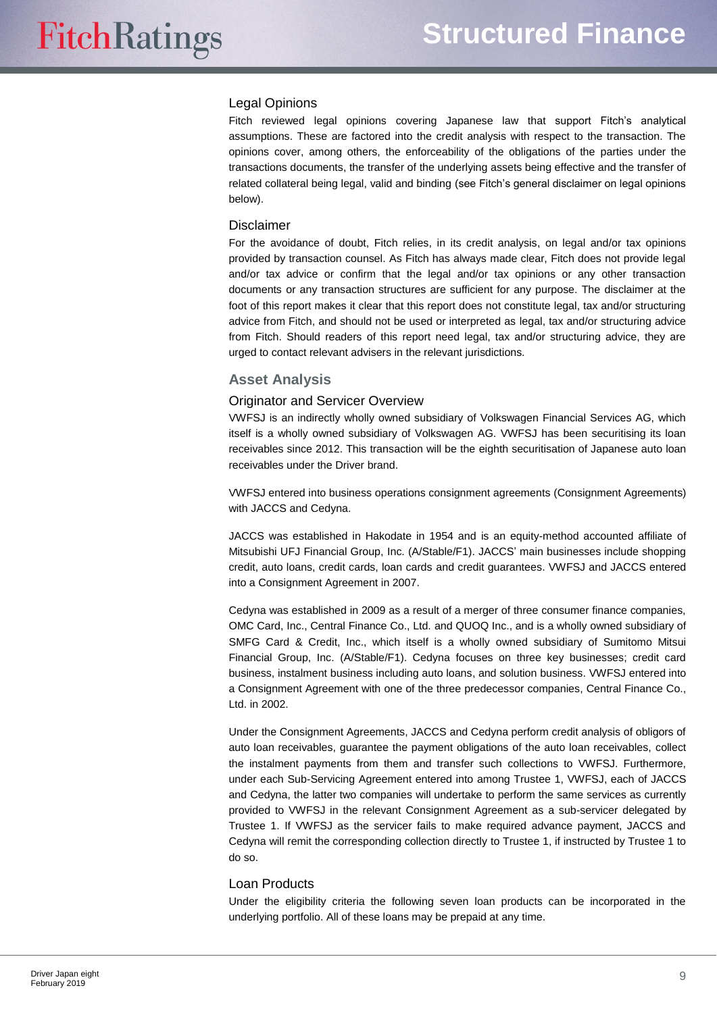## Legal Opinions

Fitch reviewed legal opinions covering Japanese law that support Fitch's analytical assumptions. These are factored into the credit analysis with respect to the transaction. The opinions cover, among others, the enforceability of the obligations of the parties under the transactions documents, the transfer of the underlying assets being effective and the transfer of related collateral being legal, valid and binding (see Fitch's general disclaimer on legal opinions below).

## **Disclaimer**

For the avoidance of doubt, Fitch relies, in its credit analysis, on legal and/or tax opinions provided by transaction counsel. As Fitch has always made clear, Fitch does not provide legal and/or tax advice or confirm that the legal and/or tax opinions or any other transaction documents or any transaction structures are sufficient for any purpose. The disclaimer at the foot of this report makes it clear that this report does not constitute legal, tax and/or structuring advice from Fitch, and should not be used or interpreted as legal, tax and/or structuring advice from Fitch. Should readers of this report need legal, tax and/or structuring advice, they are urged to contact relevant advisers in the relevant jurisdictions.

## <span id="page-8-0"></span>**Asset Analysis**

## Originator and Servicer Overview

VWFSJ is an indirectly wholly owned subsidiary of Volkswagen Financial Services AG, which itself is a wholly owned subsidiary of Volkswagen AG. VWFSJ has been securitising its loan receivables since 2012. This transaction will be the eighth securitisation of Japanese auto loan receivables under the Driver brand.

VWFSJ entered into business operations consignment agreements (Consignment Agreements) with JACCS and Cedyna.

JACCS was established in Hakodate in 1954 and is an equity-method accounted affiliate of Mitsubishi UFJ Financial Group, Inc. (A/Stable/F1). JACCS' main businesses include shopping credit, auto loans, credit cards, loan cards and credit guarantees. VWFSJ and JACCS entered into a Consignment Agreement in 2007.

Cedyna was established in 2009 as a result of a merger of three consumer finance companies, OMC Card, Inc., Central Finance Co., Ltd. and QUOQ Inc., and is a wholly owned subsidiary of SMFG Card & Credit, Inc., which itself is a wholly owned subsidiary of Sumitomo Mitsui Financial Group, Inc. (A/Stable/F1). Cedyna focuses on three key businesses; credit card business, instalment business including auto loans, and solution business. VWFSJ entered into a Consignment Agreement with one of the three predecessor companies, Central Finance Co., Ltd. in 2002.

Under the Consignment Agreements, JACCS and Cedyna perform credit analysis of obligors of auto loan receivables, guarantee the payment obligations of the auto loan receivables, collect the instalment payments from them and transfer such collections to VWFSJ. Furthermore, under each Sub-Servicing Agreement entered into among Trustee 1, VWFSJ, each of JACCS and Cedyna, the latter two companies will undertake to perform the same services as currently provided to VWFSJ in the relevant Consignment Agreement as a sub-servicer delegated by Trustee 1. If VWFSJ as the servicer fails to make required advance payment, JACCS and Cedyna will remit the corresponding collection directly to Trustee 1, if instructed by Trustee 1 to do so.

## Loan Products

Under the eligibility criteria the following seven loan products can be incorporated in the underlying portfolio. All of these loans may be prepaid at any time.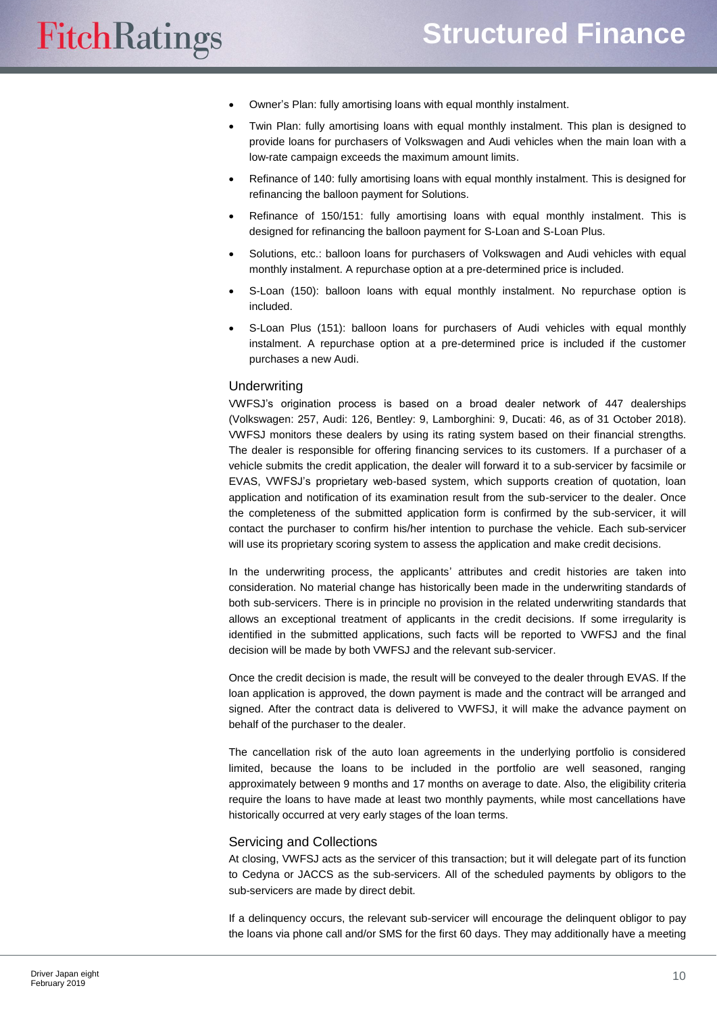- Owner's Plan: fully amortising loans with equal monthly instalment.
- Twin Plan: fully amortising loans with equal monthly instalment. This plan is designed to provide loans for purchasers of Volkswagen and Audi vehicles when the main loan with a low-rate campaign exceeds the maximum amount limits.
- Refinance of 140: fully amortising loans with equal monthly instalment. This is designed for refinancing the balloon payment for Solutions.
- Refinance of 150/151: fully amortising loans with equal monthly instalment. This is designed for refinancing the balloon payment for S-Loan and S-Loan Plus.
- Solutions, etc.: balloon loans for purchasers of Volkswagen and Audi vehicles with equal monthly instalment. A repurchase option at a pre-determined price is included.
- S-Loan (150): balloon loans with equal monthly instalment. No repurchase option is included.
- S-Loan Plus (151): balloon loans for purchasers of Audi vehicles with equal monthly instalment. A repurchase option at a pre-determined price is included if the customer purchases a new Audi.

#### **Underwriting**

VWFSJ's origination process is based on a broad dealer network of 447 dealerships (Volkswagen: 257, Audi: 126, Bentley: 9, Lamborghini: 9, Ducati: 46, as of 31 October 2018). VWFSJ monitors these dealers by using its rating system based on their financial strengths. The dealer is responsible for offering financing services to its customers. If a purchaser of a vehicle submits the credit application, the dealer will forward it to a sub-servicer by facsimile or EVAS, VWFSJ's proprietary web-based system, which supports creation of quotation, loan application and notification of its examination result from the sub-servicer to the dealer. Once the completeness of the submitted application form is confirmed by the sub-servicer, it will contact the purchaser to confirm his/her intention to purchase the vehicle. Each sub-servicer will use its proprietary scoring system to assess the application and make credit decisions.

In the underwriting process, the applicants' attributes and credit histories are taken into consideration. No material change has historically been made in the underwriting standards of both sub-servicers. There is in principle no provision in the related underwriting standards that allows an exceptional treatment of applicants in the credit decisions. If some irregularity is identified in the submitted applications, such facts will be reported to VWFSJ and the final decision will be made by both VWFSJ and the relevant sub-servicer.

Once the credit decision is made, the result will be conveyed to the dealer through EVAS. If the loan application is approved, the down payment is made and the contract will be arranged and signed. After the contract data is delivered to VWFSJ, it will make the advance payment on behalf of the purchaser to the dealer.

The cancellation risk of the auto loan agreements in the underlying portfolio is considered limited, because the loans to be included in the portfolio are well seasoned, ranging approximately between 9 months and 17 months on average to date. Also, the eligibility criteria require the loans to have made at least two monthly payments, while most cancellations have historically occurred at very early stages of the loan terms.

#### Servicing and Collections

At closing, VWFSJ acts as the servicer of this transaction; but it will delegate part of its function to Cedyna or JACCS as the sub-servicers. All of the scheduled payments by obligors to the sub-servicers are made by direct debit.

If a delinquency occurs, the relevant sub-servicer will encourage the delinquent obligor to pay the loans via phone call and/or SMS for the first 60 days. They may additionally have a meeting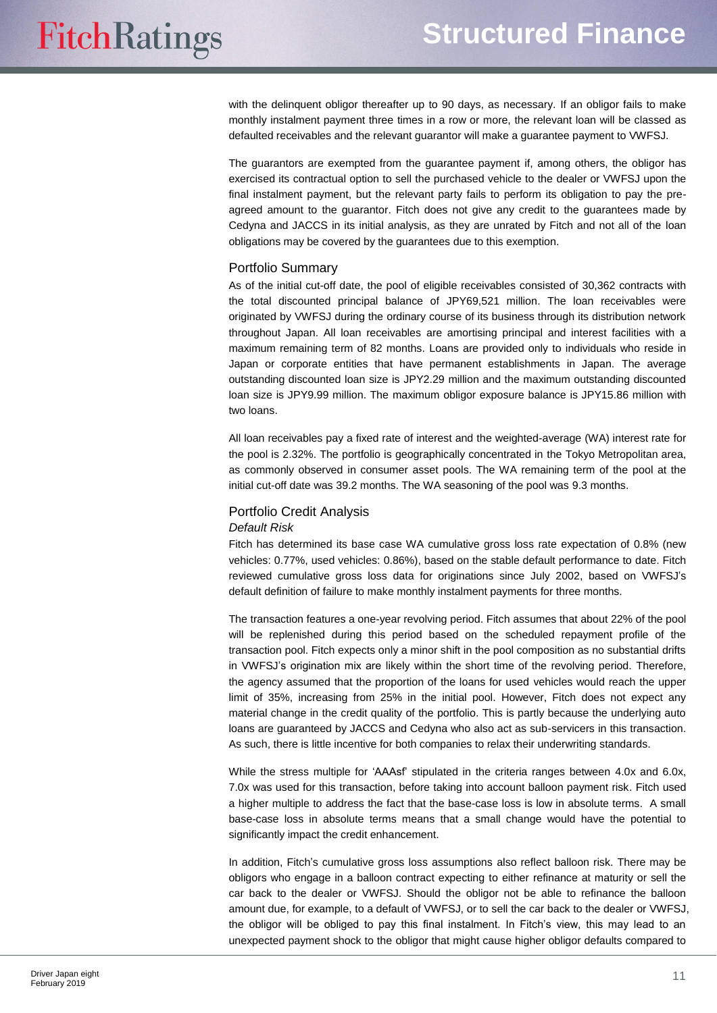with the delinquent obligor thereafter up to 90 days, as necessary. If an obligor fails to make monthly instalment payment three times in a row or more, the relevant loan will be classed as defaulted receivables and the relevant guarantor will make a guarantee payment to VWFSJ.

The guarantors are exempted from the guarantee payment if, among others, the obligor has exercised its contractual option to sell the purchased vehicle to the dealer or VWFSJ upon the final instalment payment, but the relevant party fails to perform its obligation to pay the preagreed amount to the guarantor. Fitch does not give any credit to the guarantees made by Cedyna and JACCS in its initial analysis, as they are unrated by Fitch and not all of the loan obligations may be covered by the guarantees due to this exemption.

## Portfolio Summary

As of the initial cut-off date, the pool of eligible receivables consisted of 30,362 contracts with the total discounted principal balance of JPY69,521 million. The loan receivables were originated by VWFSJ during the ordinary course of its business through its distribution network throughout Japan. All loan receivables are amortising principal and interest facilities with a maximum remaining term of 82 months. Loans are provided only to individuals who reside in Japan or corporate entities that have permanent establishments in Japan. The average outstanding discounted loan size is JPY2.29 million and the maximum outstanding discounted loan size is JPY9.99 million. The maximum obligor exposure balance is JPY15.86 million with two loans.

All loan receivables pay a fixed rate of interest and the weighted-average (WA) interest rate for the pool is 2.32%. The portfolio is geographically concentrated in the Tokyo Metropolitan area, as commonly observed in consumer asset pools. The WA remaining term of the pool at the initial cut-off date was 39.2 months. The WA seasoning of the pool was 9.3 months.

## Portfolio Credit Analysis

#### *Default Risk*

Fitch has determined its base case WA cumulative gross loss rate expectation of 0.8% (new vehicles: 0.77%, used vehicles: 0.86%), based on the stable default performance to date. Fitch reviewed cumulative gross loss data for originations since July 2002, based on VWFSJ's default definition of failure to make monthly instalment payments for three months.

The transaction features a one-year revolving period. Fitch assumes that about 22% of the pool will be replenished during this period based on the scheduled repayment profile of the transaction pool. Fitch expects only a minor shift in the pool composition as no substantial drifts in VWFSJ's origination mix are likely within the short time of the revolving period. Therefore, the agency assumed that the proportion of the loans for used vehicles would reach the upper limit of 35%, increasing from 25% in the initial pool. However, Fitch does not expect any material change in the credit quality of the portfolio. This is partly because the underlying auto loans are guaranteed by JACCS and Cedyna who also act as sub-servicers in this transaction. As such, there is little incentive for both companies to relax their underwriting standards.

While the stress multiple for 'AAAsf' stipulated in the criteria ranges between 4.0x and 6.0x, 7.0x was used for this transaction, before taking into account balloon payment risk. Fitch used a higher multiple to address the fact that the base-case loss is low in absolute terms. A small base-case loss in absolute terms means that a small change would have the potential to significantly impact the credit enhancement.

In addition, Fitch's cumulative gross loss assumptions also reflect balloon risk. There may be obligors who engage in a balloon contract expecting to either refinance at maturity or sell the car back to the dealer or VWFSJ. Should the obligor not be able to refinance the balloon amount due, for example, to a default of VWFSJ, or to sell the car back to the dealer or VWFSJ, the obligor will be obliged to pay this final instalment. In Fitch's view, this may lead to an unexpected payment shock to the obligor that might cause higher obligor defaults compared to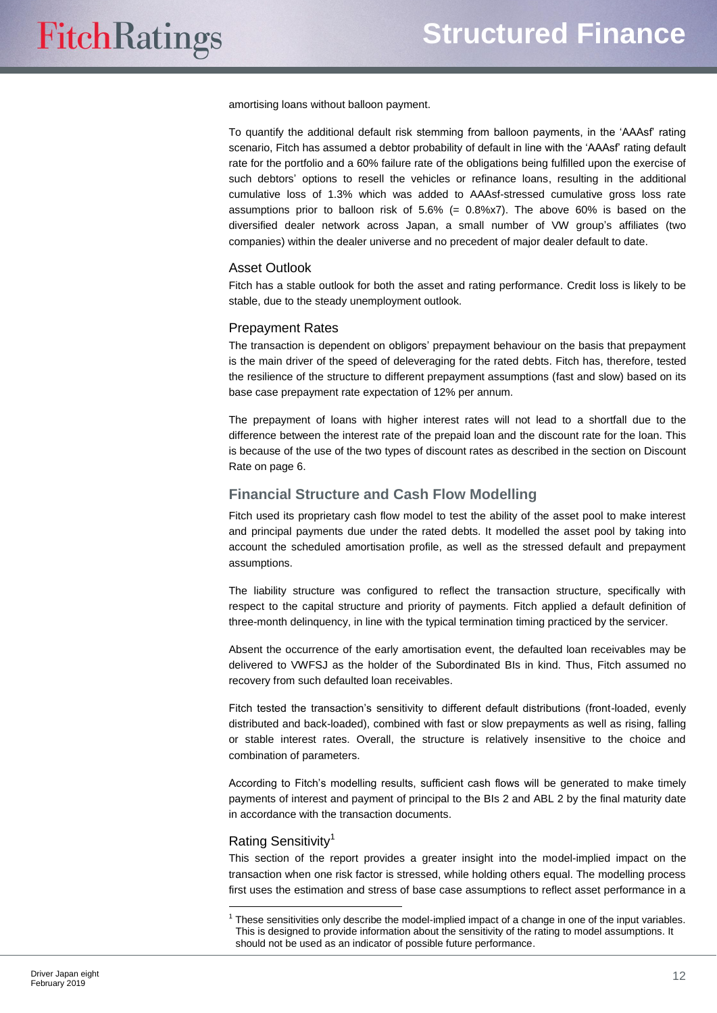amortising loans without balloon payment.

To quantify the additional default risk stemming from balloon payments, in the 'AAAsf' rating scenario, Fitch has assumed a debtor probability of default in line with the 'AAAsf' rating default rate for the portfolio and a 60% failure rate of the obligations being fulfilled upon the exercise of such debtors' options to resell the vehicles or refinance loans, resulting in the additional cumulative loss of 1.3% which was added to AAAsf-stressed cumulative gross loss rate assumptions prior to balloon risk of  $5.6\%$  (=  $0.8\%$ x7). The above  $60\%$  is based on the diversified dealer network across Japan, a small number of VW group's affiliates (two companies) within the dealer universe and no precedent of major dealer default to date.

## Asset Outlook

Fitch has a stable outlook for both the asset and rating performance. Credit loss is likely to be stable, due to the steady unemployment outlook.

#### Prepayment Rates

The transaction is dependent on obligors' prepayment behaviour on the basis that prepayment is the main driver of the speed of deleveraging for the rated debts. Fitch has, therefore, tested the resilience of the structure to different prepayment assumptions (fast and slow) based on its base case prepayment rate expectation of 12% per annum.

The prepayment of loans with higher interest rates will not lead to a shortfall due to the difference between the interest rate of the prepaid loan and the discount rate for the loan. This is because of the use of the two types of discount rates as described in the section on Discount Rate on page 6.

## <span id="page-11-0"></span>**Financial Structure and Cash Flow Modelling**

Fitch used its proprietary cash flow model to test the ability of the asset pool to make interest and principal payments due under the rated debts. It modelled the asset pool by taking into account the scheduled amortisation profile, as well as the stressed default and prepayment assumptions.

The liability structure was configured to reflect the transaction structure, specifically with respect to the capital structure and priority of payments. Fitch applied a default definition of three-month delinquency, in line with the typical termination timing practiced by the servicer.

Absent the occurrence of the early amortisation event, the defaulted loan receivables may be delivered to VWFSJ as the holder of the Subordinated BIs in kind. Thus, Fitch assumed no recovery from such defaulted loan receivables.

Fitch tested the transaction's sensitivity to different default distributions (front-loaded, evenly distributed and back-loaded), combined with fast or slow prepayments as well as rising, falling or stable interest rates. Overall, the structure is relatively insensitive to the choice and combination of parameters.

According to Fitch's modelling results, sufficient cash flows will be generated to make timely payments of interest and payment of principal to the BIs 2 and ABL 2 by the final maturity date in accordance with the transaction documents.

#### Rating Sensitivity<sup>1</sup>

 $\overline{a}$ 

This section of the report provides a greater insight into the model-implied impact on the transaction when one risk factor is stressed, while holding others equal. The modelling process first uses the estimation and stress of base case assumptions to reflect asset performance in a

<sup>&</sup>lt;sup>1</sup> These sensitivities only describe the model-implied impact of a change in one of the input variables. This is designed to provide information about the sensitivity of the rating to model assumptions. It should not be used as an indicator of possible future performance.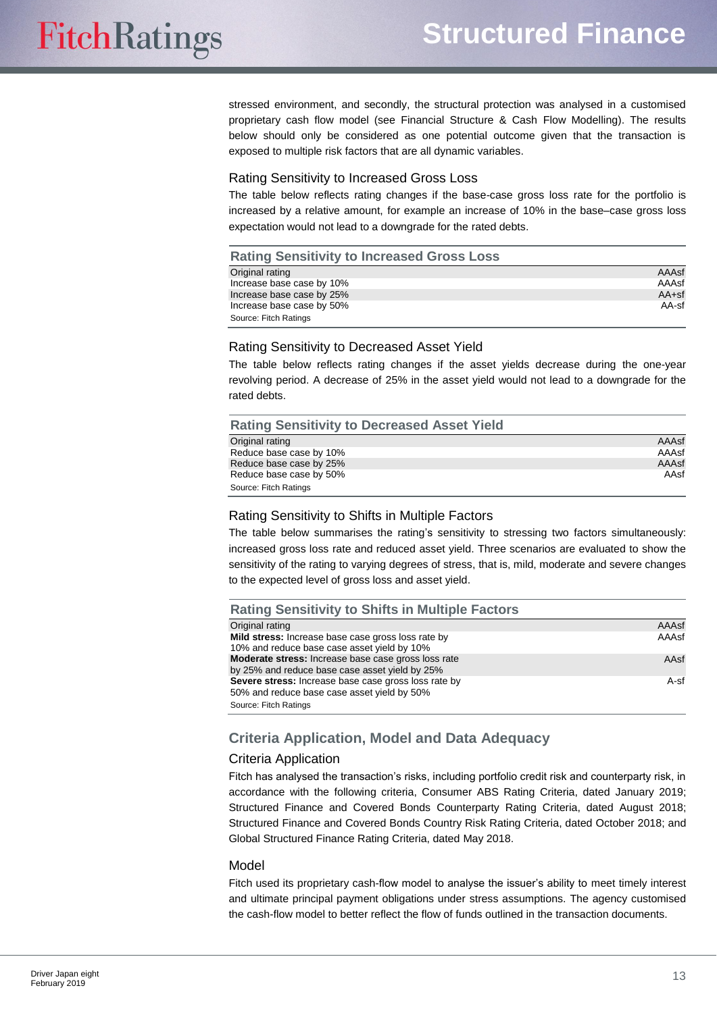stressed environment, and secondly, the structural protection was analysed in a customised proprietary cash flow model (see Financial Structure & Cash Flow Modelling). The results below should only be considered as one potential outcome given that the transaction is exposed to multiple risk factors that are all dynamic variables.

## Rating Sensitivity to Increased Gross Loss

The table below reflects rating changes if the base-case gross loss rate for the portfolio is increased by a relative amount, for example an increase of 10% in the base–case gross loss expectation would not lead to a downgrade for the rated debts.

## **Rating Sensitivity to Increased Gross Loss**

| Original rating           | AAAsf   |
|---------------------------|---------|
| Increase base case by 10% | AAAsf   |
| Increase base case by 25% | $AA+sf$ |
| Increase base case by 50% | AA-sf   |
| Source: Fitch Ratings     |         |

#### Rating Sensitivity to Decreased Asset Yield

The table below reflects rating changes if the asset yields decrease during the one-year revolving period. A decrease of 25% in the asset yield would not lead to a downgrade for the rated debts.

| <b>Rating Sensitivity to Decreased Asset Yield</b> |       |
|----------------------------------------------------|-------|
| Original rating                                    | AAAsf |
| Reduce base case by 10%                            | AAAsf |
| Reduce base case by 25%                            | AAAsf |
| Reduce base case by 50%                            | AAsf  |
| Source: Fitch Ratings                              |       |

## Rating Sensitivity to Shifts in Multiple Factors

The table below summarises the rating's sensitivity to stressing two factors simultaneously: increased gross loss rate and reduced asset yield. Three scenarios are evaluated to show the sensitivity of the rating to varying degrees of stress, that is, mild, moderate and severe changes to the expected level of gross loss and asset yield.

| <b>Rating Sensitivity to Shifts in Multiple Factors</b>                                                                      |        |
|------------------------------------------------------------------------------------------------------------------------------|--------|
| Original rating                                                                                                              | AAAsf  |
| Mild stress: Increase base case gross loss rate by<br>10% and reduce base case asset yield by 10%                            | AAAsf  |
| Moderate stress: Increase base case gross loss rate<br>by 25% and reduce base case asset yield by 25%                        | AAsf   |
| Severe stress: Increase base case gross loss rate by<br>50% and reduce base case asset yield by 50%<br>Source: Fitch Ratings | $A-sf$ |

# <span id="page-12-0"></span>**Criteria Application, Model and Data Adequacy**

## Criteria Application

Fitch has analysed the transaction's risks, including portfolio credit risk and counterparty risk, in accordance with the following criteria, Consumer ABS Rating Criteria, dated January 2019; Structured Finance and Covered Bonds Counterparty Rating Criteria, dated August 2018; Structured Finance and Covered Bonds Country Risk Rating Criteria, dated October 2018; and Global Structured Finance Rating Criteria, dated May 2018.

#### Model

Fitch used its proprietary cash-flow model to analyse the issuer's ability to meet timely interest and ultimate principal payment obligations under stress assumptions. The agency customised the cash-flow model to better reflect the flow of funds outlined in the transaction documents.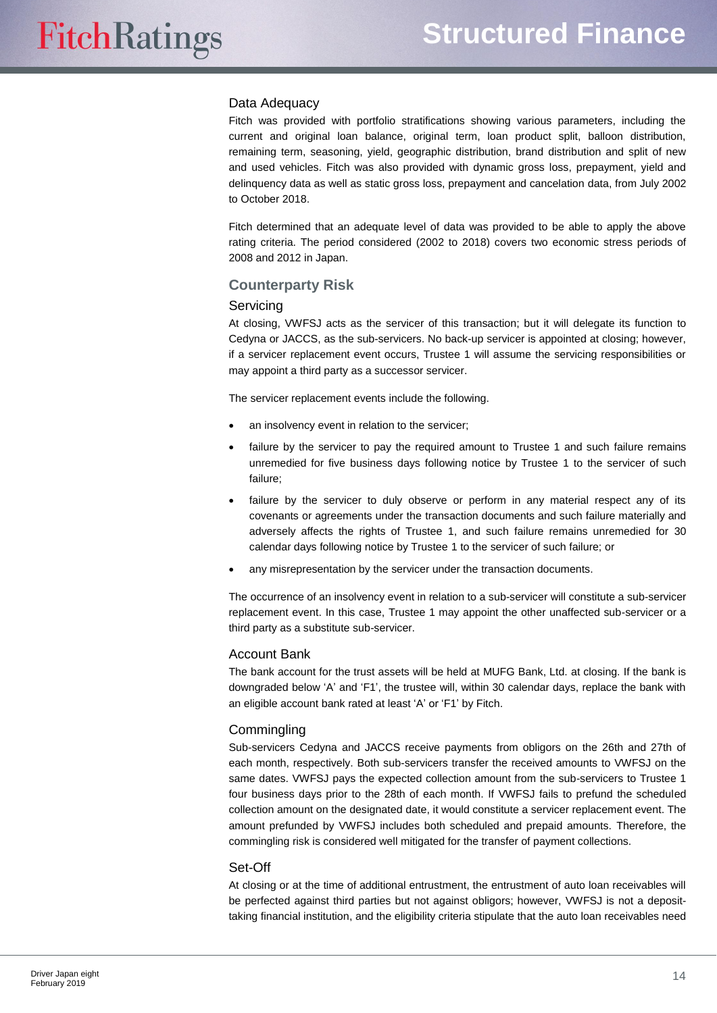#### Data Adequacy

Fitch was provided with portfolio stratifications showing various parameters, including the current and original loan balance, original term, loan product split, balloon distribution, remaining term, seasoning, yield, geographic distribution, brand distribution and split of new and used vehicles. Fitch was also provided with dynamic gross loss, prepayment, yield and delinquency data as well as static gross loss, prepayment and cancelation data, from July 2002 to October 2018.

Fitch determined that an adequate level of data was provided to be able to apply the above rating criteria. The period considered (2002 to 2018) covers two economic stress periods of 2008 and 2012 in Japan.

## <span id="page-13-0"></span>**Counterparty Risk**

#### **Servicing**

At closing, VWFSJ acts as the servicer of this transaction; but it will delegate its function to Cedyna or JACCS, as the sub-servicers. No back-up servicer is appointed at closing; however, if a servicer replacement event occurs, Trustee 1 will assume the servicing responsibilities or may appoint a third party as a successor servicer.

The servicer replacement events include the following.

- an insolvency event in relation to the servicer;
- failure by the servicer to pay the required amount to Trustee 1 and such failure remains unremedied for five business days following notice by Trustee 1 to the servicer of such failure;
- failure by the servicer to duly observe or perform in any material respect any of its covenants or agreements under the transaction documents and such failure materially and adversely affects the rights of Trustee 1, and such failure remains unremedied for 30 calendar days following notice by Trustee 1 to the servicer of such failure; or
- any misrepresentation by the servicer under the transaction documents.

The occurrence of an insolvency event in relation to a sub-servicer will constitute a sub-servicer replacement event. In this case, Trustee 1 may appoint the other unaffected sub-servicer or a third party as a substitute sub-servicer.

#### Account Bank

The bank account for the trust assets will be held at MUFG Bank, Ltd. at closing. If the bank is downgraded below 'A' and 'F1', the trustee will, within 30 calendar days, replace the bank with an eligible account bank rated at least 'A' or 'F1' by Fitch.

## **Commingling**

Sub-servicers Cedyna and JACCS receive payments from obligors on the 26th and 27th of each month, respectively. Both sub-servicers transfer the received amounts to VWFSJ on the same dates. VWFSJ pays the expected collection amount from the sub-servicers to Trustee 1 four business days prior to the 28th of each month. If VWFSJ fails to prefund the scheduled collection amount on the designated date, it would constitute a servicer replacement event. The amount prefunded by VWFSJ includes both scheduled and prepaid amounts. Therefore, the commingling risk is considered well mitigated for the transfer of payment collections.

#### Set-Off

At closing or at the time of additional entrustment, the entrustment of auto loan receivables will be perfected against third parties but not against obligors; however, VWFSJ is not a deposittaking financial institution, and the eligibility criteria stipulate that the auto loan receivables need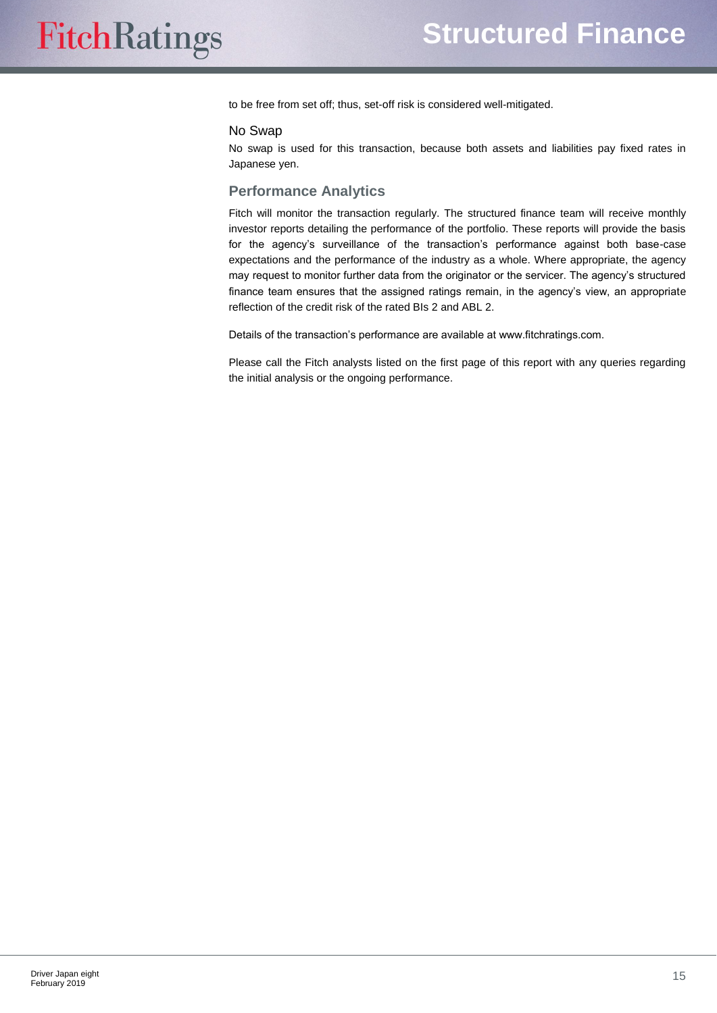to be free from set off; thus, set-off risk is considered well-mitigated.

#### No Swap

No swap is used for this transaction, because both assets and liabilities pay fixed rates in Japanese yen.

### <span id="page-14-0"></span>**Performance Analytics**

Fitch will monitor the transaction regularly. The structured finance team will receive monthly investor reports detailing the performance of the portfolio. These reports will provide the basis for the agency's surveillance of the transaction's performance against both base-case expectations and the performance of the industry as a whole. Where appropriate, the agency may request to monitor further data from the originator or the servicer. The agency's structured finance team ensures that the assigned ratings remain, in the agency's view, an appropriate reflection of the credit risk of the rated BIs 2 and ABL 2.

Details of the transaction's performance are available at www.fitchratings.com.

Please call the Fitch analysts listed on the first page of this report with any queries regarding the initial analysis or the ongoing performance.